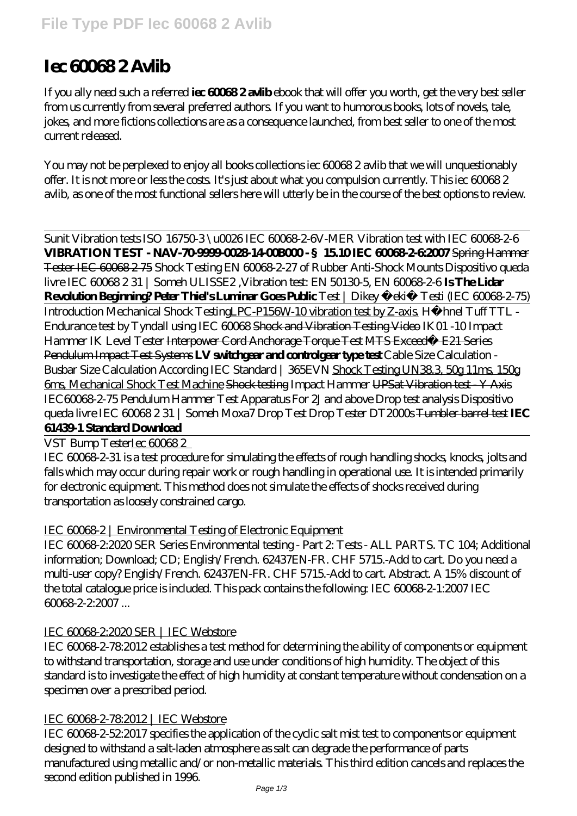# **Iec 60068 2 Avlib**

If you ally need such a referred **iec 60068 2 avlib** ebook that will offer you worth, get the very best seller from us currently from several preferred authors. If you want to humorous books, lots of novels, tale, jokes, and more fictions collections are as a consequence launched, from best seller to one of the most current released.

You may not be perplexed to enjoy all books collections iec 60068 2 avlib that we will unquestionably offer. It is not more or less the costs. It's just about what you compulsion currently. This iec 60068 2 avlib, as one of the most functional sellers here will utterly be in the course of the best options to review.

Sunit Vibration tests ISO 16750-3 \u0026 IEC 60068-2-6*V-MER Vibration test with IEC 60068-2-6* **VIBRATION TEST - NAV-7099900281400B000- §15.10 IEC 600682-62007 Spring Hammer** Tester IEC 60068 2 75 *Shock Testing EN 60068-2-27 of Rubber Anti-Shock Mounts Dispositivo queda livre IEC 60068 2 31 | Someh ULISSE2 ,Vibration test: EN 50130-5, EN 60068-2-6* **Is The Lidar Revolution Beginning? Peter Thiel's Luminar Goes Public** *Test | Dikey Çekiç Testi (IEC 60068-2-75)* Introduction Mechanical Shock TestingLPC-P156W-10 vibration test by Z-axis. *Hähnel Tuff TTL - Endurance test by Tyndall using IEC 60068* Shock and Vibration Testing Video *IK01 -10 Impact Hammer IK Level Tester* Interpower Cord Anchorage Torque Test MTS Exceed® E21 Series Pendulum Impact Test Systems **LV switchgear and controlgear type test** *Cable Size Calculation - Busbar Size Calculation According IEC Standard | 365EVN* Shock Testing UN38.3, 50g 11ms, 150g 6ms, Mechanical Shock Test Machine Shock testing *Impact Hammer* UPSat Vibration test - Y Axis *IEC60068-2-75 Pendulum Hammer Test Apparatus For 2J and above Drop test analysis* Dispositivo queda livre IEC 60068 2 31 | Someh *Moxa7 Drop Test Drop Tester DT2000s* Tumbler barrel test **IEC 61439-1 Standard Download**

VST Bump TesterIec 60068 2

IEC 60068-2-31 is a test procedure for simulating the effects of rough handling shocks, knocks, jolts and falls which may occur during repair work or rough handling in operational use. It is intended primarily for electronic equipment. This method does not simulate the effects of shocks received during transportation as loosely constrained cargo.

## IEC 60068-2 | Environmental Testing of Electronic Equipment

IEC 60068-2:2020 SER Series Environmental testing - Part 2: Tests - ALL PARTS. TC 104; Additional information; Download; CD; English/French. 62437EN-FR. CHF 5715.-Add to cart. Do you need a multi-user copy? English/French. 62437EN-FR. CHF 5715.-Add to cart. Abstract. A 15% discount of the total catalogue price is included. This pack contains the following: IEC 60068-2-1:2007 IEC 60068-2-2:2007 ...

## IEC 60068-2:2020 SER | IEC Webstore

IEC 60068-2-78:2012 establishes a test method for determining the ability of components or equipment to withstand transportation, storage and use under conditions of high humidity. The object of this standard is to investigate the effect of high humidity at constant temperature without condensation on a specimen over a prescribed period.

## IEC 60068 2-78:2012 | IEC Webstore

IEC 60068-2-52:2017 specifies the application of the cyclic salt mist test to components or equipment designed to withstand a salt-laden atmosphere as salt can degrade the performance of parts manufactured using metallic and/or non-metallic materials. This third edition cancels and replaces the second edition published in 1996.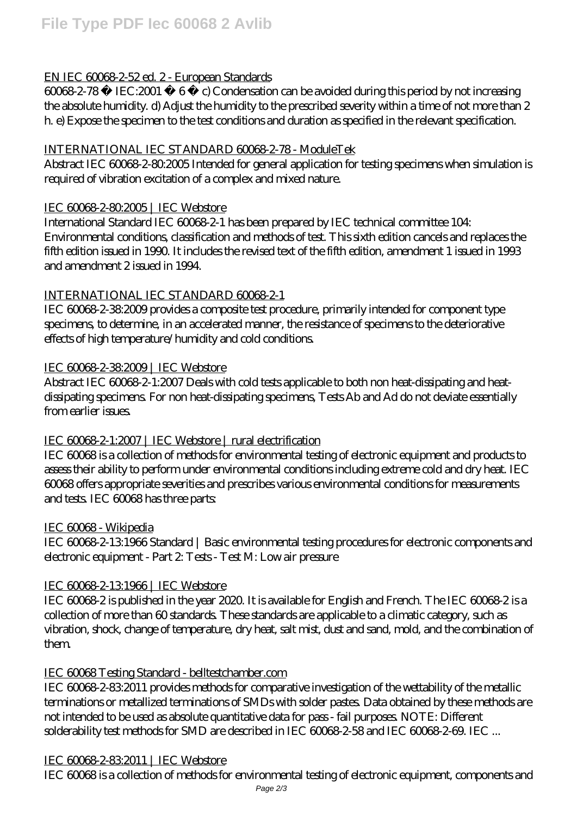## EN IEC 60068-2-52 ed. 2 - European Standards

60068-2-78 © IEC:2001 6 c) Condensation can be avoided during this period by not increasing the absolute humidity. d) Adjust the humidity to the prescribed severity within a time of not more than 2 h. e) Expose the specimen to the test conditions and duration as specified in the relevant specification.

## INTERNATIONAL IEC STANDARD 60068-2-78 - ModuleTek

Abstract IEC 60068 2-80.2005 Intended for general application for testing specimens when simulation is required of vibration excitation of a complex and mixed nature.

## IEC 60068-2-80:2005 | IEC Webstore

International Standard IEC 60068-2-1 has been prepared by IEC technical committee 104: Environmental conditions, classification and methods of test. This sixth edition cancels and replaces the fifth edition issued in 1990. It includes the revised text of the fifth edition, amendment 1 issued in 1993 and amendment 2 issued in 1994.

## INTERNATIONAL IEC STANDARD 60068-2-1

IEC 60068-2-38:2009 provides a composite test procedure, primarily intended for component type specimens, to determine, in an accelerated manner, the resistance of specimens to the deteriorative effects of high temperature/humidity and cold conditions.

## IEC 60068-2-38:2009 | IEC Webstore

Abstract IEC 60068-2-1:2007 Deals with cold tests applicable to both non heat-dissipating and heatdissipating specimens. For non heat-dissipating specimens, Tests Ab and Ad do not deviate essentially from earlier issues.

## IEC 60068-2-1:2007 | IEC Webstore | rural electrification

IEC 60068 is a collection of methods for environmental testing of electronic equipment and products to assess their ability to perform under environmental conditions including extreme cold and dry heat. IEC 60068 offers appropriate severities and prescribes various environmental conditions for measurements and tests. IEC 60068 has three parts:

## IEC 60068 - Wikipedia

IEC 60068-2-13:1966 Standard | Basic environmental testing procedures for electronic components and electronic equipment - Part 2: Tests - Test M: Low air pressure

## IEC 60068-2-13:1966 | IEC Webstore

IEC 60068-2 is published in the year 2020. It is available for English and French. The IEC 60068-2 is a collection of more than 60 standards. These standards are applicable to a climatic category, such as vibration, shock, change of temperature, dry heat, salt mist, dust and sand, mold, and the combination of them.

## IEC 60068 Testing Standard - belltestchamber.com

IEC 60068-2-83:2011 provides methods for comparative investigation of the wettability of the metallic terminations or metallized terminations of SMDs with solder pastes. Data obtained by these methods are not intended to be used as absolute quantitative data for pass - fail purposes. NOTE: Different solderability test methods for SMD are described in IEC 60068 2-58 and IEC 60068 2-69. IEC ...

## IEC 60068-2-83:2011 | IEC Webstore

IEC 60068 is a collection of methods for environmental testing of electronic equipment, components and